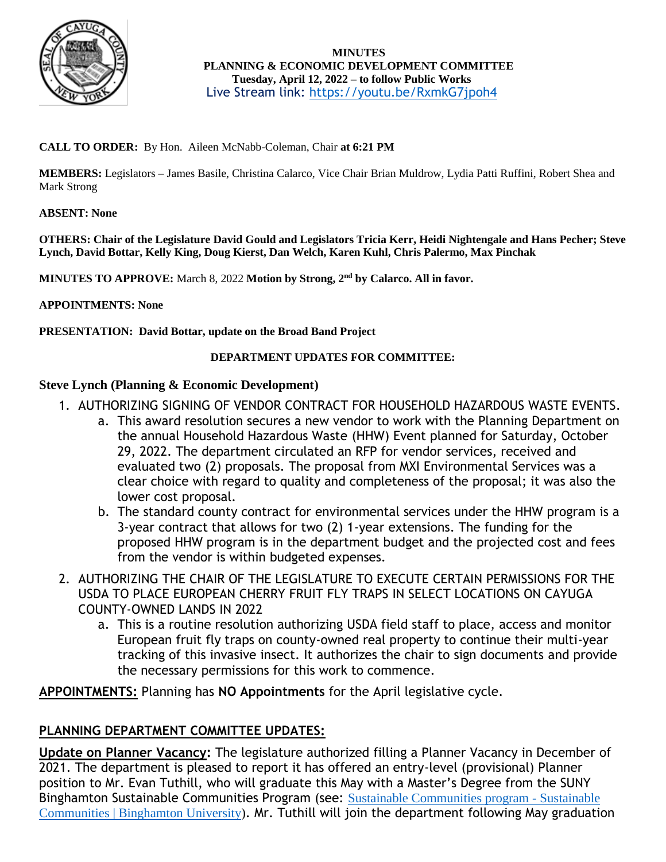

 **MINUTES PLANNING & ECONOMIC DEVELOPMENT COMMITTEE Tuesday, April 12, 2022 – to follow Public Works** Live Stream link:<https://youtu.be/RxmkG7jpoh4>

# **CALL TO ORDER:** By Hon. Aileen McNabb-Coleman, Chair **at 6:21 PM**

**MEMBERS:** Legislators – James Basile, Christina Calarco, Vice Chair Brian Muldrow, Lydia Patti Ruffini, Robert Shea and Mark Strong

## **ABSENT: None**

**OTHERS: Chair of the Legislature David Gould and Legislators Tricia Kerr, Heidi Nightengale and Hans Pecher; Steve Lynch, David Bottar, Kelly King, Doug Kierst, Dan Welch, Karen Kuhl, Chris Palermo, Max Pinchak**

**MINUTES TO APPROVE:** March 8, 2022 **Motion by Strong, 2nd by Calarco. All in favor.**

## **APPOINTMENTS: None**

**PRESENTATION: David Bottar, update on the Broad Band Project**

## **DEPARTMENT UPDATES FOR COMMITTEE:**

## **Steve Lynch (Planning & Economic Development)**

- 1. AUTHORIZING SIGNING OF VENDOR CONTRACT FOR HOUSEHOLD HAZARDOUS WASTE EVENTS.
	- a. This award resolution secures a new vendor to work with the Planning Department on the annual Household Hazardous Waste (HHW) Event planned for Saturday, October 29, 2022. The department circulated an RFP for vendor services, received and evaluated two (2) proposals. The proposal from MXI Environmental Services was a clear choice with regard to quality and completeness of the proposal; it was also the lower cost proposal.
	- b. The standard county contract for environmental services under the HHW program is a 3-year contract that allows for two (2) 1-year extensions. The funding for the proposed HHW program is in the department budget and the projected cost and fees from the vendor is within budgeted expenses.
- 2. AUTHORIZING THE CHAIR OF THE LEGISLATURE TO EXECUTE CERTAIN PERMISSIONS FOR THE USDA TO PLACE EUROPEAN CHERRY FRUIT FLY TRAPS IN SELECT LOCATIONS ON CAYUGA COUNTY-OWNED LANDS IN 2022
	- a. This is a routine resolution authorizing USDA field staff to place, access and monitor European fruit fly traps on county-owned real property to continue their multi-year tracking of this invasive insect. It authorizes the chair to sign documents and provide the necessary permissions for this work to commence.

**APPOINTMENTS:** Planning has **NO Appointments** for the April legislative cycle.

# **PLANNING DEPARTMENT COMMITTEE UPDATES:**

**Update on Planner Vacancy:** The legislature authorized filling a Planner Vacancy in December of 2021. The department is pleased to report it has offered an entry-level (provisional) Planner position to Mr. Evan Tuthill, who will graduate this May with a Master's Degree from the SUNY Binghamton Sustainable Communities Program (see: [Sustainable Communities program -](https://www.binghamton.edu/sustainable-communities/graduate/index.html) Sustainable [Communities | Binghamton University\)](https://www.binghamton.edu/sustainable-communities/graduate/index.html). Mr. Tuthill will join the department following May graduation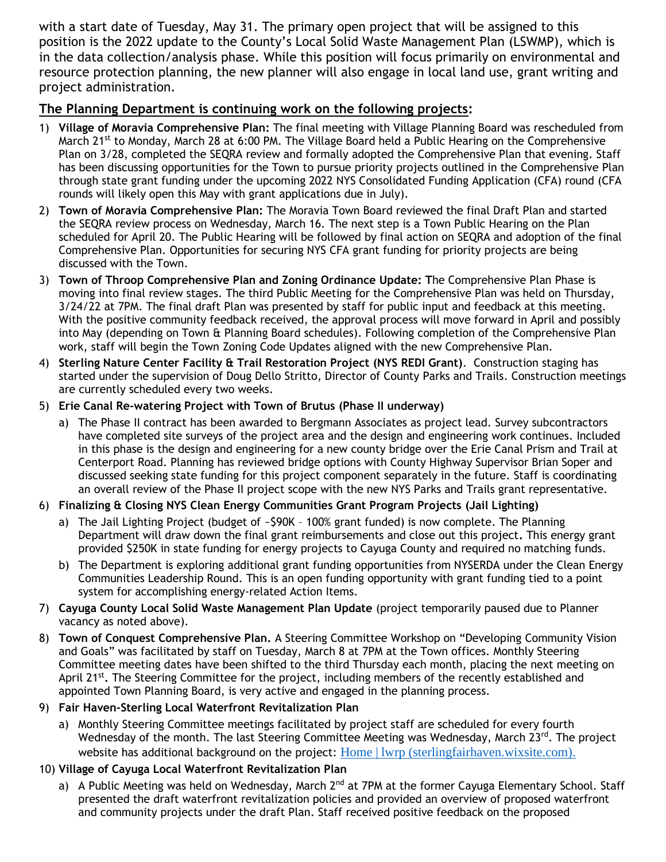with a start date of Tuesday, May 31. The primary open project that will be assigned to this position is the 2022 update to the County's Local Solid Waste Management Plan (LSWMP), which is in the data collection/analysis phase. While this position will focus primarily on environmental and resource protection planning, the new planner will also engage in local land use, grant writing and project administration.

# **The Planning Department is continuing work on the following projects:**

- 1) **Village of Moravia Comprehensive Plan:** The final meeting with Village Planning Board was rescheduled from March 21<sup>st</sup> to Monday, March 28 at 6:00 PM. The Village Board held a Public Hearing on the Comprehensive Plan on 3/28, completed the SEQRA review and formally adopted the Comprehensive Plan that evening. Staff has been discussing opportunities for the Town to pursue priority projects outlined in the Comprehensive Plan through state grant funding under the upcoming 2022 NYS Consolidated Funding Application (CFA) round (CFA rounds will likely open this May with grant applications due in July).
- 2) **Town of Moravia Comprehensive Plan:** The Moravia Town Board reviewed the final Draft Plan and started the SEQRA review process on Wednesday, March 16. The next step is a Town Public Hearing on the Plan scheduled for April 20. The Public Hearing will be followed by final action on SEQRA and adoption of the final Comprehensive Plan. Opportunities for securing NYS CFA grant funding for priority projects are being discussed with the Town.
- 3) **Town of Throop Comprehensive Plan and Zoning Ordinance Update: T**he Comprehensive Plan Phase is moving into final review stages. The third Public Meeting for the Comprehensive Plan was held on Thursday, 3/24/22 at 7PM. The final draft Plan was presented by staff for public input and feedback at this meeting. With the positive community feedback received, the approval process will move forward in April and possibly into May (depending on Town & Planning Board schedules). Following completion of the Comprehensive Plan work, staff will begin the Town Zoning Code Updates aligned with the new Comprehensive Plan.
- 4) **Sterling Nature Center Facility & Trail Restoration Project (NYS REDI Grant)**. Construction staging has started under the supervision of Doug Dello Stritto, Director of County Parks and Trails. Construction meetings are currently scheduled every two weeks.
- 5) **Erie Canal Re-watering Project with Town of Brutus (Phase II underway)**
	- a) The Phase II contract has been awarded to Bergmann Associates as project lead. Survey subcontractors have completed site surveys of the project area and the design and engineering work continues. Included in this phase is the design and engineering for a new county bridge over the Erie Canal Prism and Trail at Centerport Road. Planning has reviewed bridge options with County Highway Supervisor Brian Soper and discussed seeking state funding for this project component separately in the future. Staff is coordinating an overall review of the Phase II project scope with the new NYS Parks and Trails grant representative.

# 6) **Finalizing & Closing NYS Clean Energy Communities Grant Program Projects (Jail Lighting)**

- a) The Jail Lighting Project (budget of ~\$90K 100% grant funded) is now complete. The Planning Department will draw down the final grant reimbursements and close out this project**.** This energy grant provided \$250K in state funding for energy projects to Cayuga County and required no matching funds.
- b) The Department is exploring additional grant funding opportunities from NYSERDA under the Clean Energy Communities Leadership Round. This is an open funding opportunity with grant funding tied to a point system for accomplishing energy-related Action Items.
- 7) **Cayuga County Local Solid Waste Management Plan Update** (project temporarily paused due to Planner vacancy as noted above).
- 8) **Town of Conquest Comprehensive Plan.** A Steering Committee Workshop on "Developing Community Vision and Goals" was facilitated by staff on Tuesday, March 8 at 7PM at the Town offices. Monthly Steering Committee meeting dates have been shifted to the third Thursday each month, placing the next meeting on April 21<sup>st</sup>. The Steering Committee for the project, including members of the recently established and appointed Town Planning Board, is very active and engaged in the planning process.

# 9) **Fair Haven-Sterling Local Waterfront Revitalization Plan**

a) Monthly Steering Committee meetings facilitated by project staff are scheduled for every fourth Wednesday of the month. The last Steering Committee Meeting was Wednesday, March 23rd. The project website has additional background on the project: [Home | lwrp \(sterlingfairhaven.wixsite.com\).](https://sterlingfairhaven.wixsite.com/lwrp)

# 10) **Village of Cayuga Local Waterfront Revitalization Plan**

a) A Public Meeting was held on Wednesday, March 2<sup>nd</sup> at 7PM at the former Cayuga Elementary School. Staff presented the draft waterfront revitalization policies and provided an overview of proposed waterfront and community projects under the draft Plan. Staff received positive feedback on the proposed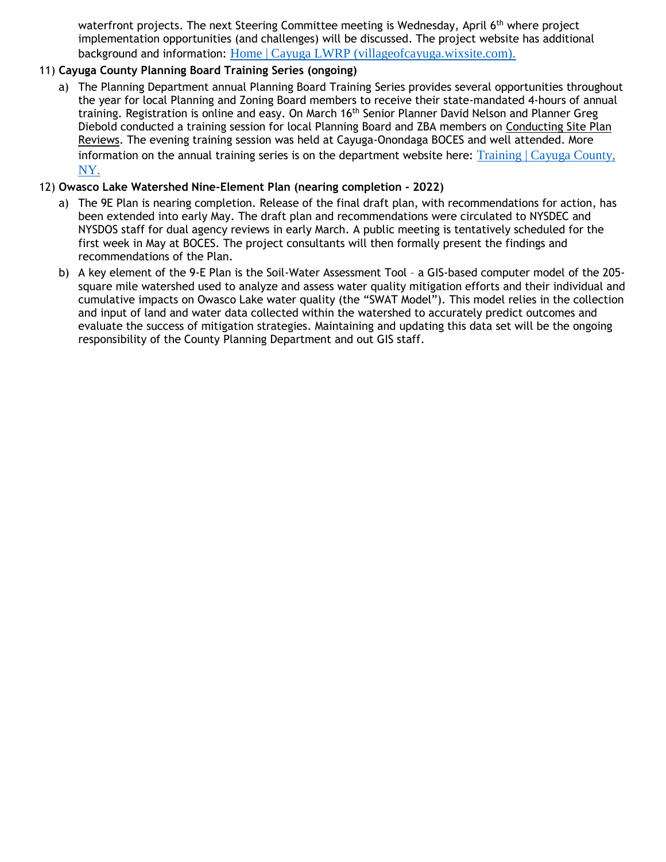waterfront projects. The next Steering Committee meeting is Wednesday, April 6<sup>th</sup> where project implementation opportunities (and challenges) will be discussed. The project website has additional background and information: [Home | Cayuga LWRP \(villageofcayuga.wixsite.com\).](https://villageofcayuga.wixsite.com/lwrp)

# 11) **Cayuga County Planning Board Training Series (ongoing)**

a) The Planning Department annual Planning Board Training Series provides several opportunities throughout the year for local Planning and Zoning Board members to receive their state-mandated 4-hours of annual training. Registration is online and easy. On March 16<sup>th</sup> Senior Planner David Nelson and Planner Greg Diebold conducted a training session for local Planning Board and ZBA members on Conducting Site Plan Reviews. The evening training session was held at Cayuga-Onondaga BOCES and well attended. More information on the annual training series is on the department website here: Training | Cayuga County, [NY.](https://www.cayugacounty.us/688/Training)

## 12) **Owasco Lake Watershed Nine-Element Plan (nearing completion - 2022)**

- a) The 9E Plan is nearing completion. Release of the final draft plan, with recommendations for action, has been extended into early May. The draft plan and recommendations were circulated to NYSDEC and NYSDOS staff for dual agency reviews in early March. A public meeting is tentatively scheduled for the first week in May at BOCES. The project consultants will then formally present the findings and recommendations of the Plan.
- b) A key element of the 9-E Plan is the Soil-Water Assessment Tool a GIS-based computer model of the 205 square mile watershed used to analyze and assess water quality mitigation efforts and their individual and cumulative impacts on Owasco Lake water quality (the "SWAT Model"). This model relies in the collection and input of land and water data collected within the watershed to accurately predict outcomes and evaluate the success of mitigation strategies. Maintaining and updating this data set will be the ongoing responsibility of the County Planning Department and out GIS staff.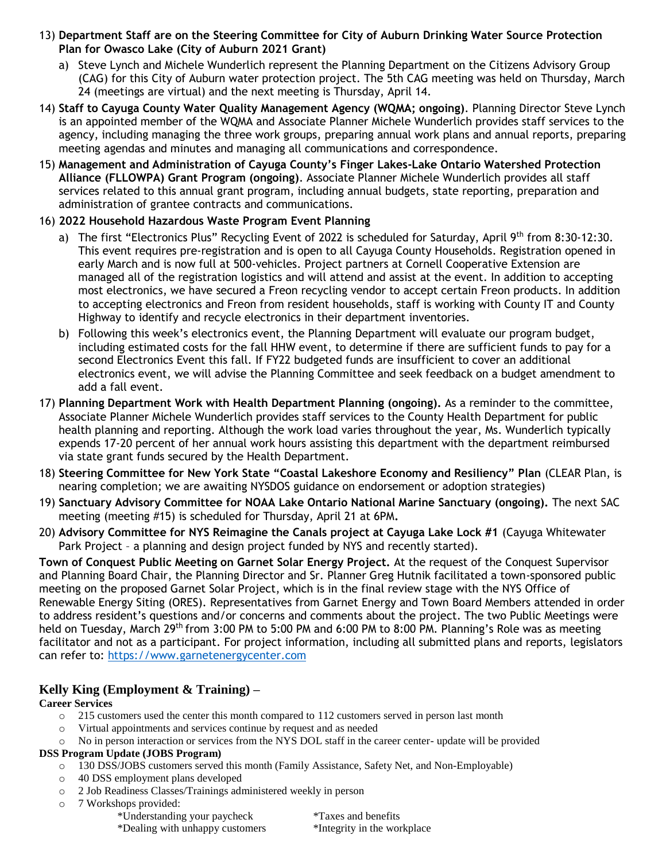- 13) **Department Staff are on the Steering Committee for City of Auburn Drinking Water Source Protection Plan for Owasco Lake (City of Auburn 2021 Grant)**
	- a) Steve Lynch and Michele Wunderlich represent the Planning Department on the Citizens Advisory Group (CAG) for this City of Auburn water protection project. The 5th CAG meeting was held on Thursday, March 24 (meetings are virtual) and the next meeting is Thursday, April 14.
- 14) **Staff to Cayuga County Water Quality Management Agency (WQMA; ongoing)**. Planning Director Steve Lynch is an appointed member of the WQMA and Associate Planner Michele Wunderlich provides staff services to the agency, including managing the three work groups, preparing annual work plans and annual reports, preparing meeting agendas and minutes and managing all communications and correspondence.
- 15) **Management and Administration of Cayuga County's Finger Lakes-Lake Ontario Watershed Protection Alliance (FLLOWPA) Grant Program (ongoing)**. Associate Planner Michele Wunderlich provides all staff services related to this annual grant program, including annual budgets, state reporting, preparation and administration of grantee contracts and communications.
- 16) **2022 Household Hazardous Waste Program Event Planning**
	- a) The first "Electronics Plus" Recycling Event of 2022 is scheduled for Saturday, April 9th from 8:30-12:30. This event requires pre-registration and is open to all Cayuga County Households. Registration opened in early March and is now full at 500-vehicles. Project partners at Cornell Cooperative Extension are managed all of the registration logistics and will attend and assist at the event. In addition to accepting most electronics, we have secured a Freon recycling vendor to accept certain Freon products. In addition to accepting electronics and Freon from resident households, staff is working with County IT and County Highway to identify and recycle electronics in their department inventories.
	- b) Following this week's electronics event, the Planning Department will evaluate our program budget, including estimated costs for the fall HHW event, to determine if there are sufficient funds to pay for a second Electronics Event this fall. If FY22 budgeted funds are insufficient to cover an additional electronics event, we will advise the Planning Committee and seek feedback on a budget amendment to add a fall event.
- 17) **Planning Department Work with Health Department Planning (ongoing).** As a reminder to the committee, Associate Planner Michele Wunderlich provides staff services to the County Health Department for public health planning and reporting. Although the work load varies throughout the year, Ms. Wunderlich typically expends 17-20 percent of her annual work hours assisting this department with the department reimbursed via state grant funds secured by the Health Department.
- 18) **Steering Committee for New York State "Coastal Lakeshore Economy and Resiliency" Plan** (CLEAR Plan, is nearing completion; we are awaiting NYSDOS guidance on endorsement or adoption strategies)
- 19) **Sanctuary Advisory Committee for NOAA Lake Ontario National Marine Sanctuary (ongoing).** The next SAC meeting (meeting #15) is scheduled for Thursday, April 21 at 6PM**.**
- 20) **Advisory Committee for NYS Reimagine the Canals project at Cayuga Lake Lock #1** (Cayuga Whitewater Park Project – a planning and design project funded by NYS and recently started).

**Town of Conquest Public Meeting on Garnet Solar Energy Project.** At the request of the Conquest Supervisor and Planning Board Chair, the Planning Director and Sr. Planner Greg Hutnik facilitated a town-sponsored public meeting on the proposed Garnet Solar Project, which is in the final review stage with the NYS Office of Renewable Energy Siting (ORES). Representatives from Garnet Energy and Town Board Members attended in order to address resident's questions and/or concerns and comments about the project. The two Public Meetings were held on Tuesday, March 29<sup>th</sup> from 3:00 PM to 5:00 PM and 6:00 PM to 8:00 PM. Planning's Role was as meeting facilitator and not as a participant. For project information, including all submitted plans and reports, legislators can refer to: [https://www.garnetenergycenter.com](https://www.garnetenergycenter.com/)

# **Kelly King (Employment & Training) –**

### **Career Services**

- $\circ$  215 customers used the center this month compared to 112 customers served in person last month
- o Virtual appointments and services continue by request and as needed
- o No in person interaction or services from the NYS DOL staff in the career center- update will be provided

### **DSS Program Update (JOBS Program)**

- o 130 DSS/JOBS customers served this month (Family Assistance, Safety Net, and Non-Employable)
- o 40 DSS employment plans developed
- o 2 Job Readiness Classes/Trainings administered weekly in person
- 7 Workshops provided:

| *Understanding your paycheck    | <i>*Taxes and benefits</i>  |  |  |  |
|---------------------------------|-----------------------------|--|--|--|
| *Dealing with unhappy customers | *Integrity in the workplace |  |  |  |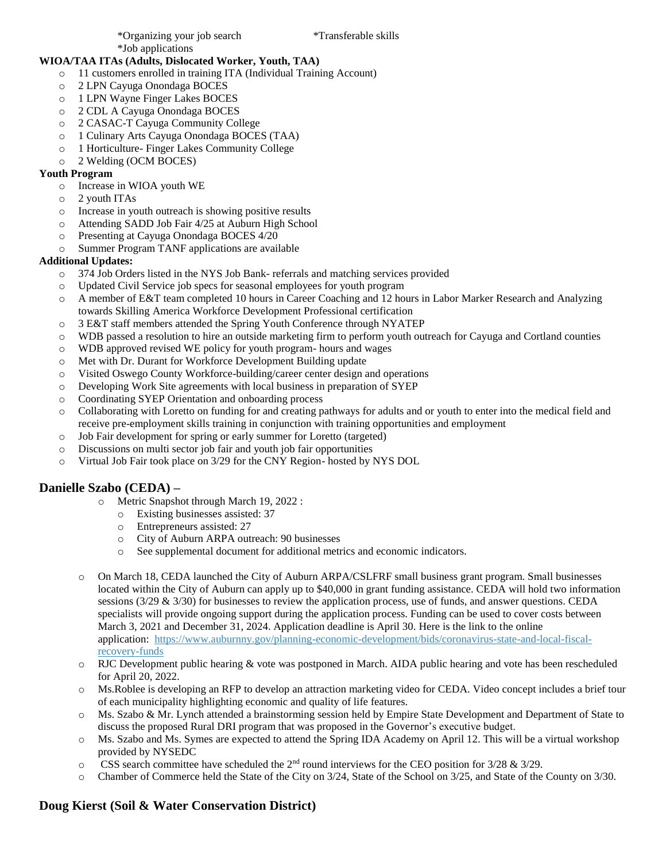#### **WIOA/TAA ITAs (Adults, Dislocated Worker, Youth, TAA)**

- o 11 customers enrolled in training ITA (Individual Training Account)
- o 2 LPN Cayuga Onondaga BOCES
- o 1 LPN Wayne Finger Lakes BOCES
- o 2 CDL A Cayuga Onondaga BOCES
- o 2 CASAC-T Cayuga Community College
- o 1 Culinary Arts Cayuga Onondaga BOCES (TAA)
- o 1 Horticulture- Finger Lakes Community College
- o 2 Welding (OCM BOCES)

#### **Youth Program**

- o Increase in WIOA youth WE
- o 2 youth ITAs
- o Increase in youth outreach is showing positive results
- o Attending SADD Job Fair 4/25 at Auburn High School
- o Presenting at Cayuga Onondaga BOCES 4/20
- o Summer Program TANF applications are available

#### **Additional Updates:**

- o 374 Job Orders listed in the NYS Job Bank- referrals and matching services provided
- o Updated Civil Service job specs for seasonal employees for youth program
- o A member of E&T team completed 10 hours in Career Coaching and 12 hours in Labor Marker Research and Analyzing towards Skilling America Workforce Development Professional certification
- o 3 E&T staff members attended the Spring Youth Conference through NYATEP
- o WDB passed a resolution to hire an outside marketing firm to perform youth outreach for Cayuga and Cortland counties
- o WDB approved revised WE policy for youth program- hours and wages
- o Met with Dr. Durant for Workforce Development Building update
- o Visited Oswego County Workforce-building/career center design and operations
- o Developing Work Site agreements with local business in preparation of SYEP
- o Coordinating SYEP Orientation and onboarding process
- o Collaborating with Loretto on funding for and creating pathways for adults and or youth to enter into the medical field and receive pre-employment skills training in conjunction with training opportunities and employment
- o Job Fair development for spring or early summer for Loretto (targeted)
- o Discussions on multi sector job fair and youth job fair opportunities
- o Virtual Job Fair took place on 3/29 for the CNY Region- hosted by NYS DOL

## **Danielle Szabo (CEDA) –**

- o Metric Snapshot through March 19, 2022 :
	- o Existing businesses assisted: 37
	- o Entrepreneurs assisted: 27
	- o City of Auburn ARPA outreach: 90 businesses
	- o See supplemental document for additional metrics and economic indicators.
- o On March 18, CEDA launched the City of Auburn ARPA/CSLFRF small business grant program. Small businesses located within the City of Auburn can apply up to \$40,000 in grant funding assistance. CEDA will hold two information sessions  $(3/29 \& 3/30)$  for businesses to review the application process, use of funds, and answer questions. CEDA specialists will provide ongoing support during the application process. Funding can be used to cover costs between March 3, 2021 and December 31, 2024. Application deadline is April 30. Here is the link to the online application: [https://www.auburnny.gov/planning-economic-development/bids/coronavirus-state-and-local-fiscal](https://www.auburnny.gov/planning-economic-development/bids/coronavirus-state-and-local-fiscal-recovery-funds)[recovery-funds](https://www.auburnny.gov/planning-economic-development/bids/coronavirus-state-and-local-fiscal-recovery-funds)
- o RJC Development public hearing & vote was postponed in March. AIDA public hearing and vote has been rescheduled for April 20, 2022.
- o Ms.Roblee is developing an RFP to develop an attraction marketing video for CEDA. Video concept includes a brief tour of each municipality highlighting economic and quality of life features.
- o Ms. Szabo & Mr. Lynch attended a brainstorming session held by Empire State Development and Department of State to discuss the proposed Rural DRI program that was proposed in the Governor's executive budget.
- o Ms. Szabo and Ms. Symes are expected to attend the Spring IDA Academy on April 12. This will be a virtual workshop provided by NYSEDC
- $\circ$  CSS search committee have scheduled the 2<sup>nd</sup> round interviews for the CEO position for 3/28 & 3/29.
- o Chamber of Commerce held the State of the City on 3/24, State of the School on 3/25, and State of the County on 3/30.

## **Doug Kierst (Soil & Water Conservation District)**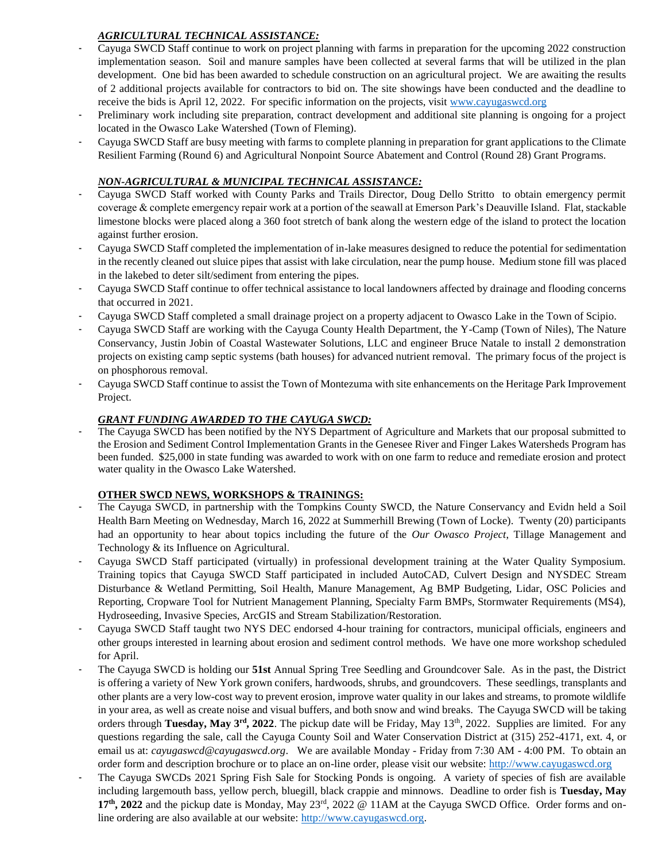# *AGRICULTURAL TECHNICAL ASSISTANCE:*

- Cayuga SWCD Staff continue to work on project planning with farms in preparation for the upcoming 2022 construction implementation season. Soil and manure samples have been collected at several farms that will be utilized in the plan development. One bid has been awarded to schedule construction on an agricultural project. We are awaiting the results of 2 additional projects available for contractors to bid on. The site showings have been conducted and the deadline to receive the bids is April 12, 2022. For specific information on the projects, visit [www.cayugaswcd.org](http://www.cayugaswcd.org/)
- Preliminary work including site preparation, contract development and additional site planning is ongoing for a project located in the Owasco Lake Watershed (Town of Fleming).
- Cayuga SWCD Staff are busy meeting with farms to complete planning in preparation for grant applications to the Climate Resilient Farming (Round 6) and Agricultural Nonpoint Source Abatement and Control (Round 28) Grant Programs.

## *NON-AGRICULTURAL & MUNICIPAL TECHNICAL ASSISTANCE:*

- Cayuga SWCD Staff worked with County Parks and Trails Director, Doug Dello Stritto to obtain emergency permit coverage & complete emergency repair work at a portion of the seawall at Emerson Park's Deauville Island. Flat, stackable limestone blocks were placed along a 360 foot stretch of bank along the western edge of the island to protect the location against further erosion.
- Cayuga SWCD Staff completed the implementation of in-lake measures designed to reduce the potential for sedimentation in the recently cleaned out sluice pipes that assist with lake circulation, near the pump house. Medium stone fill was placed in the lakebed to deter silt/sediment from entering the pipes.
- Cayuga SWCD Staff continue to offer technical assistance to local landowners affected by drainage and flooding concerns that occurred in 2021.
- Cayuga SWCD Staff completed a small drainage project on a property adjacent to Owasco Lake in the Town of Scipio.
- Cayuga SWCD Staff are working with the Cayuga County Health Department, the Y-Camp (Town of Niles), The Nature Conservancy, Justin Jobin of Coastal Wastewater Solutions, LLC and engineer Bruce Natale to install 2 demonstration projects on existing camp septic systems (bath houses) for advanced nutrient removal. The primary focus of the project is on phosphorous removal.
- Cayuga SWCD Staff continue to assist the Town of Montezuma with site enhancements on the Heritage Park Improvement Project.

## *GRANT FUNDING AWARDED TO THE CAYUGA SWCD:*

The Cayuga SWCD has been notified by the NYS Department of Agriculture and Markets that our proposal submitted to the Erosion and Sediment Control Implementation Grants in the Genesee River and Finger Lakes Watersheds Program has been funded. \$25,000 in state funding was awarded to work with on one farm to reduce and remediate erosion and protect water quality in the Owasco Lake Watershed.

### **OTHER SWCD NEWS, WORKSHOPS & TRAININGS:**

- The Cayuga SWCD, in partnership with the Tompkins County SWCD, the Nature Conservancy and Evidn held a Soil Health Barn Meeting on Wednesday, March 16, 2022 at Summerhill Brewing (Town of Locke). Twenty (20) participants had an opportunity to hear about topics including the future of the *Our Owasco Project*, Tillage Management and Technology & its Influence on Agricultural.
- Cayuga SWCD Staff participated (virtually) in professional development training at the Water Quality Symposium. Training topics that Cayuga SWCD Staff participated in included AutoCAD, Culvert Design and NYSDEC Stream Disturbance & Wetland Permitting, Soil Health, Manure Management, Ag BMP Budgeting, Lidar, OSC Policies and Reporting, Cropware Tool for Nutrient Management Planning, Specialty Farm BMPs, Stormwater Requirements (MS4), Hydroseeding, Invasive Species, ArcGIS and Stream Stabilization/Restoration.
- Cayuga SWCD Staff taught two NYS DEC endorsed 4-hour training for contractors, municipal officials, engineers and other groups interested in learning about erosion and sediment control methods. We have one more workshop scheduled for April.
- The Cayuga SWCD is holding our **51st** Annual Spring Tree Seedling and Groundcover Sale. As in the past, the District is offering a variety of New York grown conifers, hardwoods, shrubs, and groundcovers. These seedlings, transplants and other plants are a very low-cost way to prevent erosion, improve water quality in our lakes and streams, to promote wildlife in your area, as well as create noise and visual buffers, and both snow and wind breaks. The Cayuga SWCD will be taking orders through **Tuesday, May 3rd, 2022**. The pickup date will be Friday, May 13th, 2022. Supplies are limited. For any questions regarding the sale, call the Cayuga County Soil and Water Conservation District at (315) 252-4171, ext. 4, or email us at: *cayugaswcd@cayugaswcd.org*. We are available Monday - Friday from 7:30 AM - 4:00 PM. To obtain an order form and description brochure or to place an on-line order, please visit our website: [http://www.cayugaswcd.org](http://www.cayugaswcd.org/)
- The Cayuga SWCDs 2021 Spring Fish Sale for Stocking Ponds is ongoing. A variety of species of fish are available including largemouth bass, yellow perch, bluegill, black crappie and minnows. Deadline to order fish is **Tuesday, May**  17<sup>th</sup>, 2022 and the pickup date is Monday, May 23<sup>rd</sup>, 2022 @ 11AM at the Cayuga SWCD Office. Order forms and online ordering are also available at our website: [http://www.cayugaswcd.org.](http://www.cayugaswcd.org/)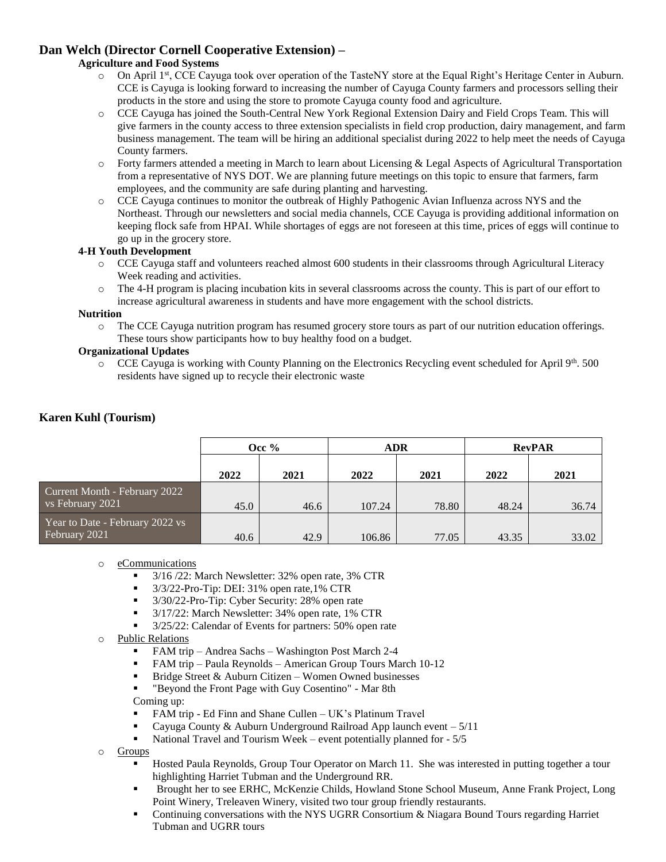# **Dan Welch (Director Cornell Cooperative Extension) –**

#### **Agriculture and Food Systems**

- o On April 1st, CCE Cayuga took over operation of the TasteNY store at the Equal Right's Heritage Center in Auburn. CCE is Cayuga is looking forward to increasing the number of Cayuga County farmers and processors selling their products in the store and using the store to promote Cayuga county food and agriculture.
- o CCE Cayuga has joined the South-Central New York Regional Extension Dairy and Field Crops Team. This will give farmers in the county access to three extension specialists in field crop production, dairy management, and farm business management. The team will be hiring an additional specialist during 2022 to help meet the needs of Cayuga County farmers.
- o Forty farmers attended a meeting in March to learn about Licensing & Legal Aspects of Agricultural Transportation from a representative of NYS DOT. We are planning future meetings on this topic to ensure that farmers, farm employees, and the community are safe during planting and harvesting.
- o CCE Cayuga continues to monitor the outbreak of Highly Pathogenic Avian Influenza across NYS and the Northeast. Through our newsletters and social media channels, CCE Cayuga is providing additional information on keeping flock safe from HPAI. While shortages of eggs are not foreseen at this time, prices of eggs will continue to go up in the grocery store.

#### **4-H Youth Development**

- o CCE Cayuga staff and volunteers reached almost 600 students in their classrooms through Agricultural Literacy Week reading and activities.
- o The 4-H program is placing incubation kits in several classrooms across the county. This is part of our effort to increase agricultural awareness in students and have more engagement with the school districts.

#### **Nutrition**

o The CCE Cayuga nutrition program has resumed grocery store tours as part of our nutrition education offerings. These tours show participants how to buy healthy food on a budget.

#### **Organizational Updates**

 $\circ$  CCE Cayuga is working with County Planning on the Electronics Recycling event scheduled for April 9<sup>th</sup>. 500 residents have signed up to recycle their electronic waste

|                                                   | Occ $%$ |      | ADR    |       | <b>RevPAR</b> |       |
|---------------------------------------------------|---------|------|--------|-------|---------------|-------|
|                                                   | 2022    | 2021 | 2022   | 2021  | 2022          | 2021  |
| Current Month - February 2022<br>vs February 2021 | 45.0    | 46.6 | 107.24 | 78.80 | 48.24         | 36.74 |
| Year to Date - February 2022 vs<br>February 2021  | 40.6    | 42.9 | 106.86 | 77.05 | 43.35         | 33.02 |

## **Karen Kuhl (Tourism)**

### o eCommunications

- $\blacksquare$  3/16/22: March Newsletter: 32% open rate, 3% CTR
- $\blacksquare$  3/3/22-Pro-Tip: DEI: 31% open rate, 1% CTR
- <sup>3/30/22-Pro-Tip: Cyber Security: 28% open rate</sup>
- 3/17/22: March Newsletter: 34% open rate, 1% CTR
- 3/25/22: Calendar of Events for partners: 50% open rate

#### o Public Relations

- FAM trip Andrea Sachs Washington Post March 2-4
- FAM trip Paula Reynolds American Group Tours March 10-12
- **Bridge Street & Auburn Citizen Women Owned businesses**
- "Beyond the Front Page with Guy Cosentino" Mar 8th Coming up:
- FAM trip Ed Finn and Shane Cullen UK's Platinum Travel
- Cayuga County & Auburn Underground Railroad App launch event  $-5/11$
- National Travel and Tourism Week event potentially planned for 5/5
- o Groups
	- Hosted Paula Reynolds, Group Tour Operator on March 11. She was interested in putting together a tour highlighting Harriet Tubman and the Underground RR.
	- Brought her to see ERHC, McKenzie Childs, Howland Stone School Museum, Anne Frank Project, Long Point Winery, Treleaven Winery, visited two tour group friendly restaurants.
	- Continuing conversations with the NYS UGRR Consortium & Niagara Bound Tours regarding Harriet Tubman and UGRR tours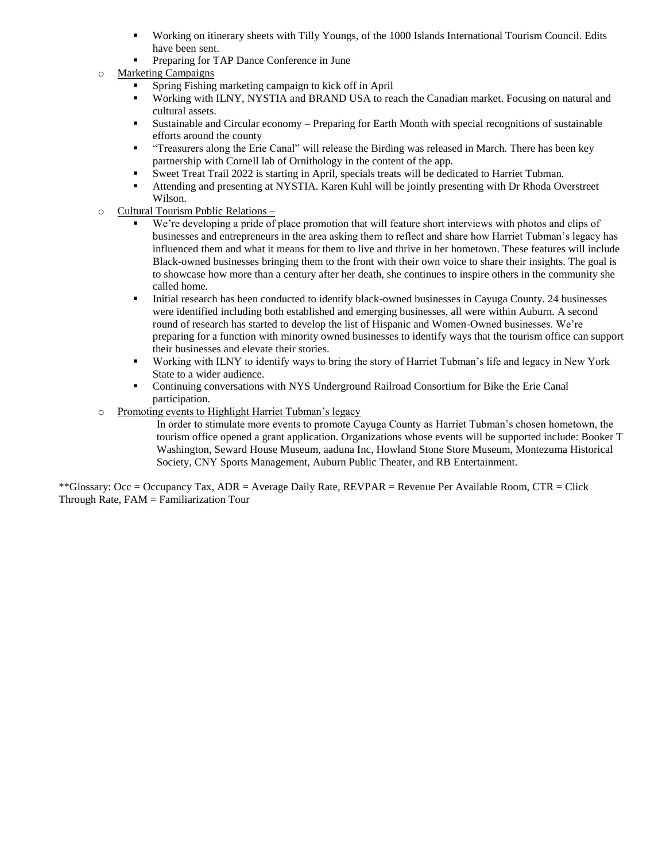- Working on itinerary sheets with Tilly Youngs, of the 1000 Islands International Tourism Council. Edits have been sent.
- Preparing for TAP Dance Conference in June
- o Marketing Campaigns
	- Spring Fishing marketing campaign to kick off in April
	- Working with ILNY, NYSTIA and BRAND USA to reach the Canadian market. Focusing on natural and cultural assets.
	- Sustainable and Circular economy Preparing for Earth Month with special recognitions of sustainable efforts around the county
	- "Treasurers along the Erie Canal" will release the Birding was released in March. There has been key partnership with Cornell lab of Ornithology in the content of the app.
	- Sweet Treat Trail 2022 is starting in April, specials treats will be dedicated to Harriet Tubman.
	- Attending and presenting at NYSTIA. Karen Kuhl will be jointly presenting with Dr Rhoda Overstreet Wilson.
- o Cultural Tourism Public Relations
	- We're developing a pride of place promotion that will feature short interviews with photos and clips of businesses and entrepreneurs in the area asking them to reflect and share how Harriet Tubman's legacy has influenced them and what it means for them to live and thrive in her hometown. These features will include Black-owned businesses bringing them to the front with their own voice to share their insights. The goal is to showcase how more than a century after her death, she continues to inspire others in the community she called home.
	- Initial research has been conducted to identify black-owned businesses in Cayuga County. 24 businesses were identified including both established and emerging businesses, all were within Auburn. A second round of research has started to develop the list of Hispanic and Women-Owned businesses. We're preparing for a function with minority owned businesses to identify ways that the tourism office can support their businesses and elevate their stories.
	- Working with ILNY to identify ways to bring the story of Harriet Tubman's life and legacy in New York State to a wider audience.
	- Continuing conversations with NYS Underground Railroad Consortium for Bike the Erie Canal participation.
- o Promoting events to Highlight Harriet Tubman's legacy
	- In order to stimulate more events to promote Cayuga County as Harriet Tubman's chosen hometown, the tourism office opened a grant application. Organizations whose events will be supported include: Booker T Washington, Seward House Museum, aaduna Inc, Howland Stone Store Museum, Montezuma Historical Society, CNY Sports Management, Auburn Public Theater, and RB Entertainment.

\*\*Glossary: Occ = Occupancy Tax, ADR = Average Daily Rate, REVPAR = Revenue Per Available Room, CTR = Click Through Rate, FAM = Familiarization Tour